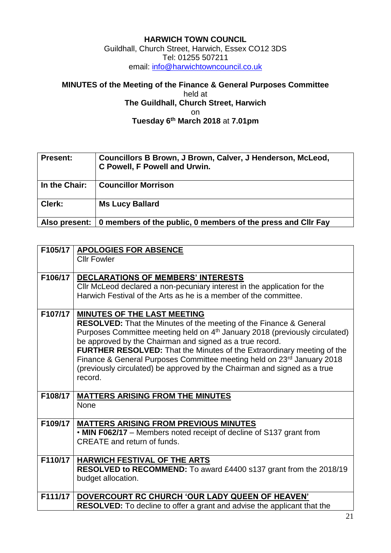## **HARWICH TOWN COUNCIL** Guildhall, Church Street, Harwich, Essex CO12 3DS Tel: 01255 507211 email: [info@harwichtowncouncil.co.uk](mailto:info@harwichtowncouncil.co.uk)

## **MINUTES of the Meeting of the Finance & General Purposes Committee** held at **The Guildhall, Church Street, Harwich** on **Tuesday 6 th March 2018** at **7.01pm**

| <b>Present:</b> | Councillors B Brown, J Brown, Calver, J Henderson, McLeod,<br>C Powell, F Powell and Urwin. |
|-----------------|---------------------------------------------------------------------------------------------|
| In the Chair:   | <b>Councillor Morrison</b>                                                                  |
| Clerk:          | <b>Ms Lucy Ballard</b>                                                                      |
| Also present:   | 0 members of the public, 0 members of the press and Cllr Fay                                |

|         | F105/17   APOLOGIES FOR ABSENCE                                                         |
|---------|-----------------------------------------------------------------------------------------|
|         | <b>Cllr Fowler</b>                                                                      |
|         |                                                                                         |
| F106/17 | <b>DECLARATIONS OF MEMBERS' INTERESTS</b>                                               |
|         | CIIr McLeod declared a non-pecuniary interest in the application for the                |
|         | Harwich Festival of the Arts as he is a member of the committee.                        |
|         |                                                                                         |
| F107/17 | <b>MINUTES OF THE LAST MEETING</b>                                                      |
|         | <b>RESOLVED:</b> That the Minutes of the meeting of the Finance & General               |
|         | Purposes Committee meeting held on 4 <sup>th</sup> January 2018 (previously circulated) |
|         | be approved by the Chairman and signed as a true record.                                |
|         | FURTHER RESOLVED: That the Minutes of the Extraordinary meeting of the                  |
|         | Finance & General Purposes Committee meeting held on 23rd January 2018                  |
|         | (previously circulated) be approved by the Chairman and signed as a true                |
|         | record.                                                                                 |
|         |                                                                                         |
| F108/17 | <b>MATTERS ARISING FROM THE MINUTES</b>                                                 |
|         | None                                                                                    |
|         |                                                                                         |
| F109/17 | <b>MATTERS ARISING FROM PREVIOUS MINUTES</b>                                            |
|         | • MIN F062/17 - Members noted receipt of decline of S137 grant from                     |
|         | <b>CREATE</b> and return of funds.                                                      |
|         |                                                                                         |
| F110/17 | <b>HARWICH FESTIVAL OF THE ARTS</b>                                                     |
|         | RESOLVED to RECOMMEND: To award £4400 s137 grant from the 2018/19                       |
|         | budget allocation.                                                                      |
|         |                                                                                         |
| F111/17 | DOVERCOURT RC CHURCH 'OUR LADY QUEEN OF HEAVEN'                                         |
|         | <b>RESOLVED:</b> To decline to offer a grant and advise the applicant that the          |
|         |                                                                                         |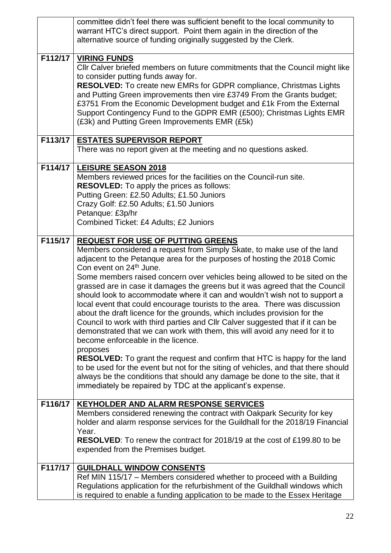|         | committee didn't feel there was sufficient benefit to the local community to<br>warrant HTC's direct support. Point them again in the direction of the                                                                                                                                                                                                                                                                                                                                                                                                                                                                                                                                                                                                                                                                                                                                                                                                                                                                                                                                                                                                                                    |
|---------|-------------------------------------------------------------------------------------------------------------------------------------------------------------------------------------------------------------------------------------------------------------------------------------------------------------------------------------------------------------------------------------------------------------------------------------------------------------------------------------------------------------------------------------------------------------------------------------------------------------------------------------------------------------------------------------------------------------------------------------------------------------------------------------------------------------------------------------------------------------------------------------------------------------------------------------------------------------------------------------------------------------------------------------------------------------------------------------------------------------------------------------------------------------------------------------------|
|         | alternative source of funding originally suggested by the Clerk.                                                                                                                                                                                                                                                                                                                                                                                                                                                                                                                                                                                                                                                                                                                                                                                                                                                                                                                                                                                                                                                                                                                          |
| F112/17 | <b>VIRING FUNDS</b><br>Cllr Calver briefed members on future commitments that the Council might like<br>to consider putting funds away for.<br>RESOLVED: To create new EMRs for GDPR compliance, Christmas Lights<br>and Putting Green improvements then vire £3749 From the Grants budget;<br>£3751 From the Economic Development budget and £1k From the External<br>Support Contingency Fund to the GDPR EMR (£500); Christmas Lights EMR<br>(£3k) and Putting Green Improvements EMR (£5k)                                                                                                                                                                                                                                                                                                                                                                                                                                                                                                                                                                                                                                                                                            |
| F113/17 | <b>ESTATES SUPERVISOR REPORT</b><br>There was no report given at the meeting and no questions asked.                                                                                                                                                                                                                                                                                                                                                                                                                                                                                                                                                                                                                                                                                                                                                                                                                                                                                                                                                                                                                                                                                      |
| F114/17 | <b>LEISURE SEASON 2018</b><br>Members reviewed prices for the facilities on the Council-run site.<br><b>RESOVLED:</b> To apply the prices as follows:<br>Putting Green: £2.50 Adults; £1.50 Juniors<br>Crazy Golf: £2.50 Adults; £1.50 Juniors<br>Petanque: £3p/hr<br>Combined Ticket: £4 Adults; £2 Juniors                                                                                                                                                                                                                                                                                                                                                                                                                                                                                                                                                                                                                                                                                                                                                                                                                                                                              |
| F115/17 | <b>REQUEST FOR USE OF PUTTING GREENS</b><br>Members considered a request from Simply Skate, to make use of the land<br>adjacent to the Petanque area for the purposes of hosting the 2018 Comic<br>Con event on 24 <sup>th</sup> June.<br>Some members raised concern over vehicles being allowed to be sited on the<br>grassed are in case it damages the greens but it was agreed that the Council<br>should look to accommodate where it can and wouldn't wish not to support a<br>local event that could encourage tourists to the area. There was discussion<br>about the draft licence for the grounds, which includes provision for the<br>Council to work with third parties and Cllr Calver suggested that if it can be<br>demonstrated that we can work with them, this will avoid any need for it to<br>become enforceable in the licence.<br>proposes<br><b>RESOLVED:</b> To grant the request and confirm that HTC is happy for the land<br>to be used for the event but not for the siting of vehicles, and that there should<br>always be the conditions that should any damage be done to the site, that it<br>immediately be repaired by TDC at the applicant's expense. |
| F116/17 | <b>KEYHOLDER AND ALARM RESPONSE SERVICES</b><br>Members considered renewing the contract with Oakpark Security for key<br>holder and alarm response services for the Guildhall for the 2018/19 Financial<br>Year.<br><b>RESOLVED:</b> To renew the contract for 2018/19 at the cost of £199.80 to be<br>expended from the Premises budget.                                                                                                                                                                                                                                                                                                                                                                                                                                                                                                                                                                                                                                                                                                                                                                                                                                                |
| F117/17 | <b>GUILDHALL WINDOW CONSENTS</b><br>Ref MIN 115/17 - Members considered whether to proceed with a Building<br>Regulations application for the refurbishment of the Guildhall windows which<br>is required to enable a funding application to be made to the Essex Heritage                                                                                                                                                                                                                                                                                                                                                                                                                                                                                                                                                                                                                                                                                                                                                                                                                                                                                                                |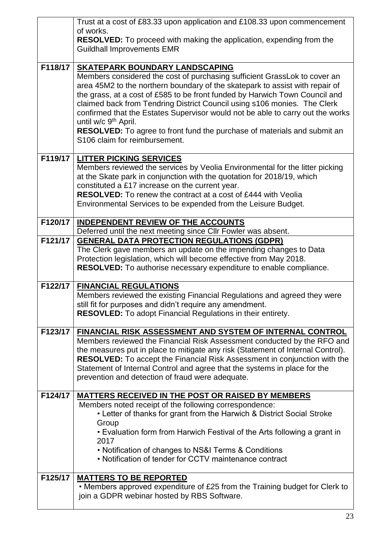|         | Trust at a cost of £83.33 upon application and £108.33 upon commencement                                                                                            |
|---------|---------------------------------------------------------------------------------------------------------------------------------------------------------------------|
|         | of works.<br><b>RESOLVED:</b> To proceed with making the application, expending from the                                                                            |
|         | <b>Guildhall Improvements EMR</b>                                                                                                                                   |
|         |                                                                                                                                                                     |
| F118/17 | <b>SKATEPARK BOUNDARY LANDSCAPING</b>                                                                                                                               |
|         | Members considered the cost of purchasing sufficient GrassLok to cover an                                                                                           |
|         | area 45M2 to the northern boundary of the skatepark to assist with repair of<br>the grass, at a cost of £585 to be front funded by Harwich Town Council and         |
|         | claimed back from Tendring District Council using s106 monies. The Clerk                                                                                            |
|         | confirmed that the Estates Supervisor would not be able to carry out the works                                                                                      |
|         | until w/c 9 <sup>th</sup> April.                                                                                                                                    |
|         | <b>RESOLVED:</b> To agree to front fund the purchase of materials and submit an<br>S106 claim for reimbursement.                                                    |
|         |                                                                                                                                                                     |
| F119/17 | <b>LITTER PICKING SERVICES</b>                                                                                                                                      |
|         | Members reviewed the services by Veolia Environmental for the litter picking                                                                                        |
|         | at the Skate park in conjunction with the quotation for 2018/19, which                                                                                              |
|         | constituted a £17 increase on the current year.<br><b>RESOLVED:</b> To renew the contract at a cost of £444 with Veolia                                             |
|         | Environmental Services to be expended from the Leisure Budget.                                                                                                      |
|         |                                                                                                                                                                     |
| F120/17 | <b>INDEPENDENT REVIEW OF THE ACCOUNTS</b>                                                                                                                           |
|         | Deferred until the next meeting since CIIr Fowler was absent.                                                                                                       |
| F121/17 | <b>GENERAL DATA PROTECTION REGULATIONS (GDPR)</b>                                                                                                                   |
|         | The Clerk gave members an update on the impending changes to Data<br>Protection legislation, which will become effective from May 2018.                             |
|         | RESOLVED: To authorise necessary expenditure to enable compliance.                                                                                                  |
|         |                                                                                                                                                                     |
| F122/17 | <b>FINANCIAL REGULATIONS</b>                                                                                                                                        |
|         | Members reviewed the existing Financial Regulations and agreed they were                                                                                            |
|         | still fit for purposes and didn't require any amendment.<br>RESOVLED: To adopt Financial Regulations in their entirety.                                             |
|         |                                                                                                                                                                     |
| F123/17 | FINANCIAL RISK ASSESSMENT AND SYSTEM OF INTERNAL CONTROL                                                                                                            |
|         | Members reviewed the Financial Risk Assessment conducted by the RFO and                                                                                             |
|         | the measures put in place to mitigate any risk (Statement of Internal Control).<br><b>RESOLVED:</b> To accept the Financial Risk Assessment in conjunction with the |
|         | Statement of Internal Control and agree that the systems in place for the                                                                                           |
|         | prevention and detection of fraud were adequate.                                                                                                                    |
|         |                                                                                                                                                                     |
| F124/17 | <b>MATTERS RECEIVED IN THE POST OR RAISED BY MEMBERS</b><br>Members noted receipt of the following correspondence:                                                  |
|         | • Letter of thanks for grant from the Harwich & District Social Stroke                                                                                              |
|         | Group                                                                                                                                                               |
|         | • Evaluation form from Harwich Festival of the Arts following a grant in                                                                                            |
|         | 2017<br>• Notification of changes to NS&I Terms & Conditions                                                                                                        |
|         | • Notification of tender for CCTV maintenance contract                                                                                                              |
|         |                                                                                                                                                                     |
| F125/17 | <b>MATTERS TO BE REPORTED</b>                                                                                                                                       |
|         | • Members approved expenditure of £25 from the Training budget for Clerk to                                                                                         |
|         | join a GDPR webinar hosted by RBS Software.                                                                                                                         |

 $\overline{\phantom{a}}$